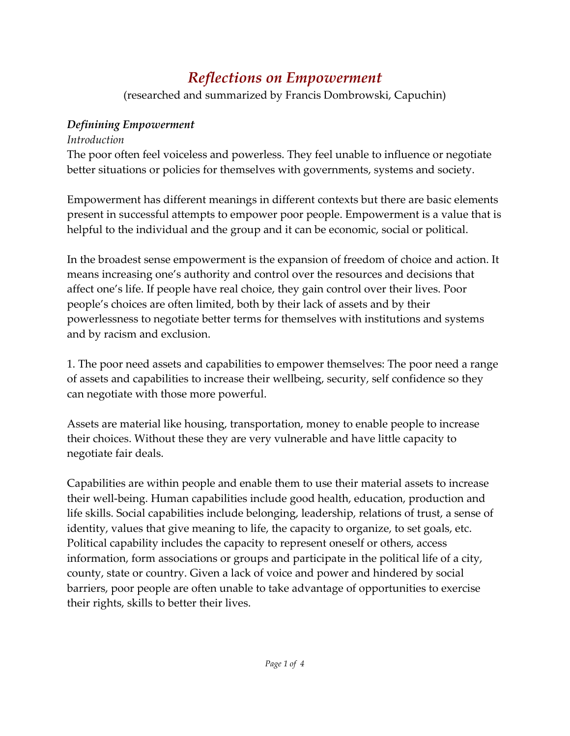## *Reflections on Empowerment*

(researched and summarized by Francis Dombrowski, Capuchin)

## *Definining Empowerment*

## *Introduction*

The poor often feel voiceless and powerless. They feel unable to influence or negotiate better situations or policies for themselves with governments, systems and society.

Empowerment has different meanings in different contexts but there are basic elements present in successful attempts to empower poor people. Empowerment is a value that is helpful to the individual and the group and it can be economic, social or political.

In the broadest sense empowerment is the expansion of freedom of choice and action. It means increasing one's authority and control over the resources and decisions that affect one's life. If people have real choice, they gain control over their lives. Poor people's choices are often limited, both by their lack of assets and by their powerlessness to negotiate better terms for themselves with institutions and systems and by racism and exclusion.

1. The poor need assets and capabilities to empower themselves: The poor need a range of assets and capabilities to increase their wellbeing, security, self confidence so they can negotiate with those more powerful.

Assets are material like housing, transportation, money to enable people to increase their choices. Without these they are very vulnerable and have little capacity to negotiate fair deals.

Capabilities are within people and enable them to use their material assets to increase their well‐being. Human capabilities include good health, education, production and life skills. Social capabilities include belonging, leadership, relations of trust, a sense of identity, values that give meaning to life, the capacity to organize, to set goals, etc. Political capability includes the capacity to represent oneself or others, access information, form associations or groups and participate in the political life of a city, county, state or country. Given a lack of voice and power and hindered by social barriers, poor people are often unable to take advantage of opportunities to exercise their rights, skills to better their lives.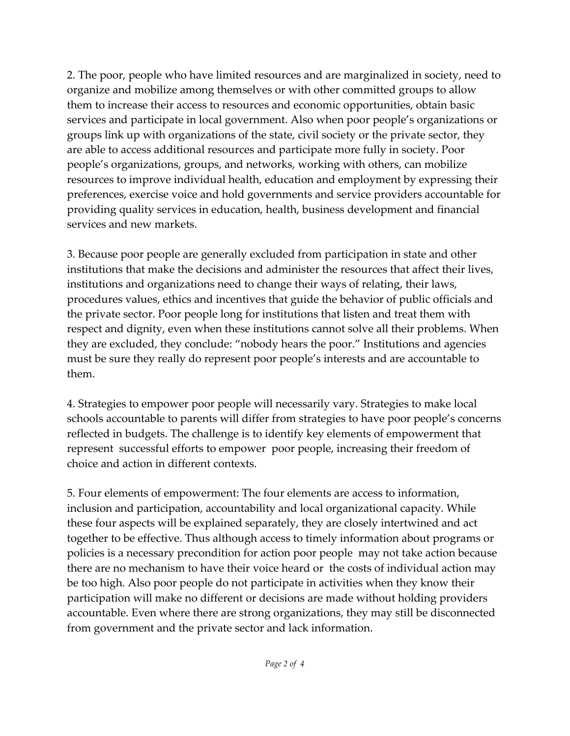2. The poor, people who have limited resources and are marginalized in society, need to organize and mobilize among themselves or with other committed groups to allow them to increase their access to resources and economic opportunities, obtain basic services and participate in local government. Also when poor people's organizations or groups link up with organizations of the state, civil society or the private sector, they are able to access additional resources and participate more fully in society. Poor people's organizations, groups, and networks, working with others, can mobilize resources to improve individual health, education and employment by expressing their preferences, exercise voice and hold governments and service providers accountable for providing quality services in education, health, business development and financial services and new markets.

3. Because poor people are generally excluded from participation in state and other institutions that make the decisions and administer the resources that affect their lives, institutions and organizations need to change their ways of relating, their laws, procedures values, ethics and incentives that guide the behavior of public officials and the private sector. Poor people long for institutions that listen and treat them with respect and dignity, even when these institutions cannot solve all their problems. When they are excluded, they conclude: "nobody hears the poor." Institutions and agencies must be sure they really do represent poor people's interests and are accountable to them.

4. Strategies to empower poor people will necessarily vary. Strategies to make local schools accountable to parents will differ from strategies to have poor people's concerns reflected in budgets. The challenge is to identify key elements of empowerment that represent successful efforts to empower poor people, increasing their freedom of choice and action in different contexts.

5. Four elements of empowerment: The four elements are access to information, inclusion and participation, accountability and local organizational capacity. While these four aspects will be explained separately, they are closely intertwined and act together to be effective. Thus although access to timely information about programs or policies is a necessary precondition for action poor people may not take action because there are no mechanism to have their voice heard or the costs of individual action may be too high. Also poor people do not participate in activities when they know their participation will make no different or decisions are made without holding providers accountable. Even where there are strong organizations, they may still be disconnected from government and the private sector and lack information.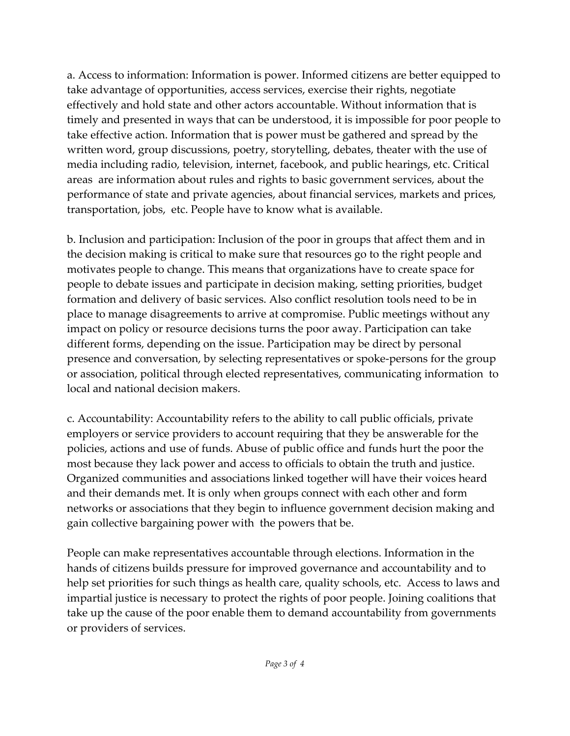a. Access to information: Information is power. Informed citizens are better equipped to take advantage of opportunities, access services, exercise their rights, negotiate effectively and hold state and other actors accountable. Without information that is timely and presented in ways that can be understood, it is impossible for poor people to take effective action. Information that is power must be gathered and spread by the written word, group discussions, poetry, storytelling, debates, theater with the use of media including radio, television, internet, facebook, and public hearings, etc. Critical areas are information about rules and rights to basic government services, about the performance of state and private agencies, about financial services, markets and prices, transportation, jobs, etc. People have to know what is available.

b. Inclusion and participation: Inclusion of the poor in groups that affect them and in the decision making is critical to make sure that resources go to the right people and motivates people to change. This means that organizations have to create space for people to debate issues and participate in decision making, setting priorities, budget formation and delivery of basic services. Also conflict resolution tools need to be in place to manage disagreements to arrive at compromise. Public meetings without any impact on policy or resource decisions turns the poor away. Participation can take different forms, depending on the issue. Participation may be direct by personal presence and conversation, by selecting representatives or spoke‐persons for the group or association, political through elected representatives, communicating information to local and national decision makers.

c. Accountability: Accountability refers to the ability to call public officials, private employers or service providers to account requiring that they be answerable for the policies, actions and use of funds. Abuse of public office and funds hurt the poor the most because they lack power and access to officials to obtain the truth and justice. Organized communities and associations linked together will have their voices heard and their demands met. It is only when groups connect with each other and form networks or associations that they begin to influence government decision making and gain collective bargaining power with the powers that be.

People can make representatives accountable through elections. Information in the hands of citizens builds pressure for improved governance and accountability and to help set priorities for such things as health care, quality schools, etc. Access to laws and impartial justice is necessary to protect the rights of poor people. Joining coalitions that take up the cause of the poor enable them to demand accountability from governments or providers of services.